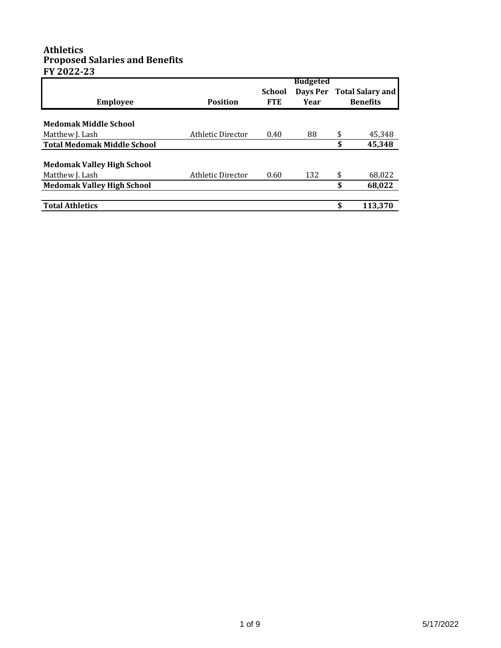#### **Athletics Proposed Salaries and Benefits FY 2022-23**

|                                    | <b>Budgeted</b>   |               |          |    |                         |
|------------------------------------|-------------------|---------------|----------|----|-------------------------|
|                                    |                   | <b>School</b> | Days Per |    | <b>Total Salary and</b> |
| <b>Employee</b>                    | <b>Position</b>   | <b>FTE</b>    | Year     |    | <b>Benefits</b>         |
|                                    |                   |               |          |    |                         |
| <b>Medomak Middle School</b>       |                   |               |          |    |                         |
| Matthew J. Lash                    | Athletic Director | 0.40          | 88       | \$ | 45,348                  |
| <b>Total Medomak Middle School</b> |                   |               |          | \$ | 45,348                  |
| <b>Medomak Valley High School</b>  |                   |               |          |    |                         |
| Matthew J. Lash                    | Athletic Director | 0.60          | 132      | \$ | 68,022                  |
| <b>Medomak Valley High School</b>  |                   |               |          | \$ | 68,022                  |
|                                    |                   |               |          |    |                         |
| <b>Total Athletics</b>             |                   |               |          | \$ | 113.370                 |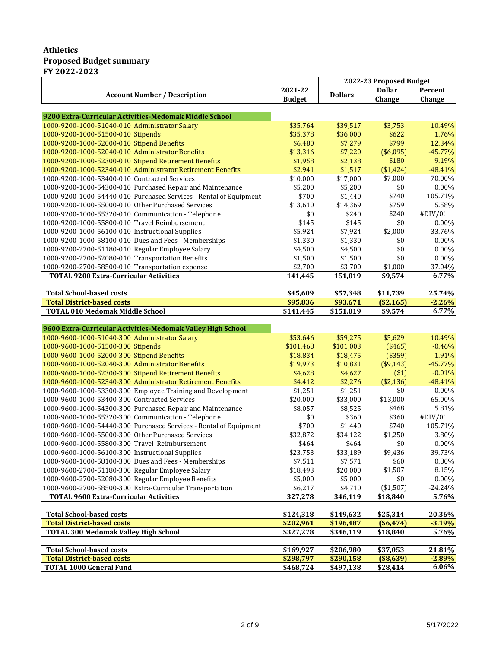#### **Athletics Proposed Budget summary FY 2022-2023**

|                                                                   |                        |                | 2022-23 Proposed Budget |           |
|-------------------------------------------------------------------|------------------------|----------------|-------------------------|-----------|
| <b>Account Number / Description</b>                               | 2021-22                | <b>Dollars</b> | <b>Dollar</b>           | Percent   |
|                                                                   | <b>Budget</b>          |                | Change                  | Change    |
|                                                                   |                        |                |                         |           |
| 9200 Extra-Curricular Activities-Medomak Middle School            |                        |                |                         |           |
| 1000-9200-1000-51040-010 Administrator Salary                     | \$35,764               | \$39,517       | \$3,753                 | 10.49%    |
| 1000-9200-1000-51500-010 Stipends                                 | \$35,378               | \$36,000       | \$622                   | 1.76%     |
| 1000-9200-1000-52000-010 Stipend Benefits                         | \$6,480                | \$7,279        | \$799                   | 12.34%    |
| 1000-9200-1000-52040-010 Administrator Benefits                   | \$13,316               | \$7,220        | (\$6,095)               | $-45.77%$ |
| 1000-9200-1000-52300-010 Stipend Retirement Benefits              | \$1,958                | \$2,138        | \$180                   | 9.19%     |
| 1000-9200-1000-52340-010 Administrator Retirement Benefits        | \$2,941                | \$1,517        | (\$1,424)               | $-48.41%$ |
| 1000-9200-1000-53400-010 Contracted Services                      | \$10,000               | \$17,000       | \$7,000                 | 70.00%    |
| 1000-9200-1000-54300-010 Purchased Repair and Maintenance         | \$5,200                | \$5,200        | \$0                     | 0.00%     |
| 1000-9200-1000-54440-010 Purchased Services - Rental of Equipment | \$700                  | \$1,440        | \$740                   | 105.71%   |
| 1000-9200-1000-55000-010 Other Purchased Services                 | \$13,610               | \$14,369       | \$759                   | 5.58%     |
| 1000-9200-1000-55320-010 Communication - Telephone                | \$0                    | \$240          | \$240                   | #DIV/0!   |
| 1000-9200-1000-55800-010 Travel Reimbursement                     | \$145                  | \$145          | \$0                     | $0.00\%$  |
| 1000-9200-1000-56100-010 Instructional Supplies                   | \$5,924                | \$7,924        | \$2,000                 | 33.76%    |
| 1000-9200-1000-58100-010 Dues and Fees - Memberships              | \$1,330                | \$1,330        | \$0                     | 0.00%     |
| 1000-9200-2700-51180-010 Regular Employee Salary                  | \$4,500                | \$4,500        | \$0                     | 0.00%     |
| 1000-9200-2700-52080-010 Transportation Benefits                  | \$1,500                | \$1,500        | \$0                     | $0.00\%$  |
| 1000-9200-2700-58500-010 Transportation expense                   | \$2,700                | \$3,700        | \$1,000                 | 37.04%    |
| <b>TOTAL 9200 Extra-Curricular Activities</b>                     | 141,445                | 151,019        | \$9,574                 | 6.77%     |
|                                                                   |                        |                |                         |           |
| <b>Total School-based costs</b>                                   | \$45,609               | \$57,348       | \$11,739                | 25.74%    |
| <b>Total District-based costs</b>                                 | \$95,836               | \$93,671       | (\$2,165)               | $-2.26%$  |
| <b>TOTAL 010 Medomak Middle School</b>                            | \$141,445              | \$151,019      | \$9,574                 | 6.77%     |
| 9600 Extra-Curricular Activities-Medomak Valley High School       |                        |                |                         |           |
| 1000-9600-1000-51040-300 Administrator Salary                     | \$53,646               | \$59,275       | \$5,629                 | 10.49%    |
| 1000-9600-1000-51500-300 Stipends                                 | \$101,468              | \$101,003      | (\$465)                 | $-0.46%$  |
| 1000-9600-1000-52000-300 Stipend Benefits                         | \$18,834               | \$18,475       | (\$359)                 | $-1.91%$  |
| 1000-9600-1000-52040-300 Administrator Benefits                   | \$19,973               | \$10,831       | (\$9,143)               | $-45.77%$ |
| 1000-9600-1000-52300-300 Stipend Retirement Benefits              | \$4,628                | \$4,627        | ( \$1)                  | $-0.01%$  |
| 1000-9600-1000-52340-300 Administrator Retirement Benefits        | \$4,412                | \$2,276        | (\$2,136)               | $-48.41%$ |
| 1000-9600-1000-53300-300 Employee Training and Development        | \$1,251                | \$1,251        | \$0                     | 0.00%     |
| 1000-9600-1000-53400-300 Contracted Services                      | \$20,000               | \$33,000       | \$13,000                | 65.00%    |
| 1000-9600-1000-54300-300 Purchased Repair and Maintenance         | \$8,057                | \$8,525        | \$468                   | 5.81%     |
| 1000-9600-1000-55320-300 Communication - Telephone                | \$0                    | \$360          | \$360                   | #DIV/0!   |
| 1000-9600-1000-54440-300 Purchased Services - Rental of Equipment | \$700                  | \$1,440        | \$740                   | 105.71%   |
| 1000-9600-1000-55000-300 Other Purchased Services                 | \$32,872               |                | \$1,250                 |           |
|                                                                   |                        | \$34,122       |                         | 3.80%     |
| 1000-9600-1000-55800-300 Travel Reimbursement                     | \$464                  | \$464          | \$0                     | $0.00\%$  |
| 1000-9600-1000-56100-300 Instructional Supplies                   | \$23,753               | \$33,189       | \$9,436                 | 39.73%    |
| 1000-9600-1000-58100-300 Dues and Fees - Memberships              | \$7,511                | \$7,571        | \$60                    | 0.80%     |
| 1000-9600-2700-51180-300 Regular Employee Salary                  | \$18,493               | \$20,000       | \$1,507                 | 8.15%     |
| 1000-9600-2700-52080-300 Regular Employee Benefits                | \$5,000                | \$5,000        | \$0                     | 0.00%     |
| 1000-9600-2700-58500-300 Extra-Curricular Transportation          | \$6,217                | \$4,710        | $(*1,507)$              | -24.24%   |
| <b>TOTAL 9600 Extra-Curricular Activities</b>                     | 327,278                | 346,119        | \$18,840                | 5.76%     |
| <b>Total School-based costs</b>                                   |                        | \$149,632      | \$25,314                | 20.36%    |
| <b>Total District-based costs</b>                                 | \$124,318<br>\$202,961 | \$196,487      | (\$6,474)               | $-3.19%$  |
| <b>TOTAL 300 Medomak Valley High School</b>                       | \$327,278              | \$346,119      | \$18,840                | 5.76%     |
|                                                                   |                        |                |                         |           |
| <b>Total School-based costs</b>                                   | \$169,927              | \$206,980      | \$37,053                | 21.81%    |
| <b>Total District-based costs</b>                                 | \$298,797              | \$290,158      | (\$8,639)               | $-2.89%$  |
| <b>TOTAL 1000 General Fund</b>                                    | \$468,724              | \$497,138      | \$28,414                | 6.06%     |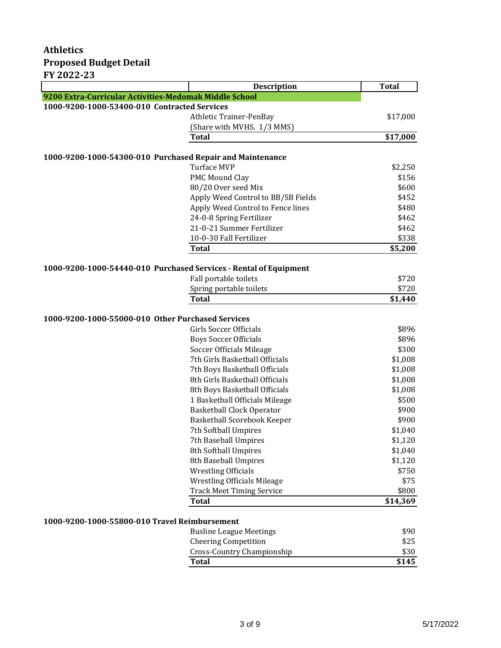|                                                                   | <b>Description</b>                 | <b>Total</b> |
|-------------------------------------------------------------------|------------------------------------|--------------|
| 9200 Extra-Curricular Activities-Medomak Middle School            |                                    |              |
| 1000-9200-1000-53400-010 Contracted Services                      |                                    |              |
|                                                                   | Athletic Trainer-PenBay            | \$17,000     |
|                                                                   | (Share with MVHS. 1/3 MMS)         |              |
|                                                                   | Total                              | \$17,000     |
|                                                                   |                                    |              |
| 1000-9200-1000-54300-010 Purchased Repair and Maintenance         |                                    |              |
|                                                                   | <b>Turface MVP</b>                 | \$2,250      |
|                                                                   | <b>PMC Mound Clay</b>              | \$156        |
|                                                                   | 80/20 Over seed Mix                | \$600        |
|                                                                   | Apply Weed Control to BB/SB Fields | \$452        |
|                                                                   | Apply Weed Control to Fence lines  | \$480        |
|                                                                   | 24-0-8 Spring Fertilizer           | \$462        |
|                                                                   | 21-0-21 Summer Fertilizer          | \$462        |
|                                                                   | 10-0-30 Fall Fertilizer            | \$338        |
|                                                                   | <b>Total</b>                       | \$5,200      |
| 1000-9200-1000-54440-010 Purchased Services - Rental of Equipment |                                    |              |
|                                                                   | Fall portable toilets              | \$720        |
|                                                                   | Spring portable toilets            | \$720        |
|                                                                   | <b>Total</b>                       | \$1,440      |
|                                                                   |                                    |              |
| 1000-9200-1000-55000-010 Other Purchased Services                 |                                    |              |
|                                                                   | Girls Soccer Officials             | \$896        |
|                                                                   | <b>Boys Soccer Officials</b>       | \$896        |
|                                                                   | Soccer Officials Mileage           | \$300        |
|                                                                   | 7th Girls Basketball Officials     | \$1,008      |
|                                                                   | 7th Boys Basketball Officials      | \$1,008      |
|                                                                   | 8th Girls Basketball Officials     | \$1,008      |
|                                                                   | 8th Boys Basketball Officials      | \$1,008      |
|                                                                   | 1 Basketball Officials Mileage     | \$500        |
|                                                                   | <b>Basketball Clock Operator</b>   | \$900        |
|                                                                   | Basketball Scorebook Keeper        | \$900        |
|                                                                   | 7th Softball Umpires               | \$1,040      |
|                                                                   | 7th Baseball Umpires               | \$1,120      |
|                                                                   | 8th Softball Umpires               | \$1,040      |
|                                                                   | 8th Baseball Umpires               | \$1,120      |
|                                                                   | <b>Wrestling Officials</b>         | \$750        |
|                                                                   | <b>Wrestling Officials Mileage</b> | \$75         |
|                                                                   | <b>Track Meet Timing Service</b>   | \$800        |
|                                                                   | <b>Total</b>                       | \$14,369     |
|                                                                   |                                    |              |
| 1000-9200-1000-55800-010 Travel Reimbursement                     |                                    |              |

| \$90  |
|-------|
| \$25  |
| \$30  |
| \$145 |
|       |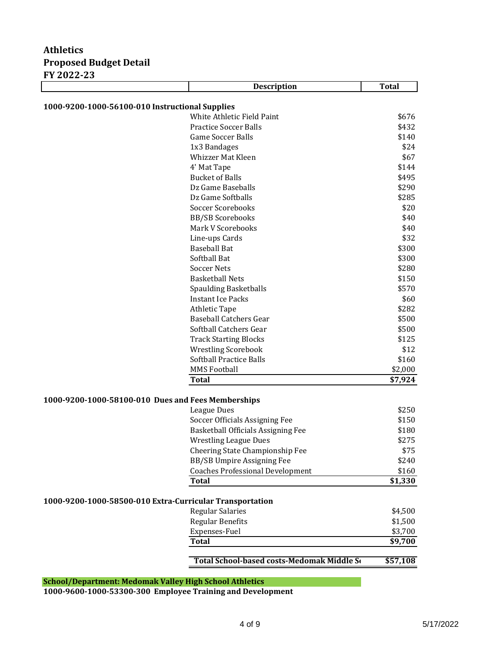|                                                          | <b>Description</b>                         | <b>Total</b> |
|----------------------------------------------------------|--------------------------------------------|--------------|
| 1000-9200-1000-56100-010 Instructional Supplies          |                                            |              |
|                                                          | White Athletic Field Paint                 | \$676        |
|                                                          | <b>Practice Soccer Balls</b>               | \$432        |
|                                                          | <b>Game Soccer Balls</b>                   | \$140        |
|                                                          | 1x3 Bandages                               | \$24         |
|                                                          | <b>Whizzer Mat Kleen</b>                   | \$67         |
|                                                          | 4' Mat Tape                                | \$144        |
|                                                          | <b>Bucket of Balls</b>                     | \$495        |
|                                                          | Dz Game Baseballs                          | \$290        |
|                                                          | Dz Game Softballs                          | \$285        |
|                                                          | <b>Soccer Scorebooks</b>                   | \$20         |
|                                                          | <b>BB/SB Scorebooks</b>                    | \$40         |
|                                                          | Mark V Scorebooks                          | \$40         |
|                                                          | Line-ups Cards                             | \$32         |
|                                                          | <b>Baseball Bat</b>                        | \$300        |
|                                                          | Softball Bat                               | \$300        |
|                                                          | <b>Soccer Nets</b>                         | \$280        |
|                                                          | <b>Basketball Nets</b>                     | \$150        |
|                                                          | <b>Spaulding Basketballs</b>               | \$570        |
|                                                          | <b>Instant Ice Packs</b>                   | \$60         |
|                                                          | <b>Athletic Tape</b>                       | \$282        |
|                                                          | <b>Baseball Catchers Gear</b>              | \$500        |
|                                                          | Softball Catchers Gear                     | \$500        |
|                                                          | <b>Track Starting Blocks</b>               | \$125        |
|                                                          | <b>Wrestling Scorebook</b>                 | \$12         |
|                                                          | Softball Practice Balls                    | \$160        |
|                                                          | <b>MMS Football</b>                        | \$2,000      |
|                                                          | <b>Total</b>                               | \$7,924      |
| 1000-9200-1000-58100-010 Dues and Fees Memberships       |                                            |              |
|                                                          | League Dues                                | \$250        |
|                                                          | Soccer Officials Assigning Fee             | \$150        |
|                                                          | Basketball Officials Assigning Fee         | \$180        |
|                                                          | <b>Wrestling League Dues</b>               | \$275        |
|                                                          | Cheering State Championship Fee            | \$75         |
|                                                          | BB/SB Umpire Assigning Fee                 | \$240        |
|                                                          | <b>Coaches Professional Development</b>    | \$160        |
|                                                          | <b>Total</b>                               | \$1,330      |
| 1000-9200-1000-58500-010 Extra-Curricular Transportation |                                            |              |
|                                                          | Regular Salaries                           | \$4,500      |
|                                                          | <b>Regular Benefits</b>                    | \$1,500      |
|                                                          | Expenses-Fuel                              | \$3,700      |
|                                                          | <b>Total</b>                               | \$9,700      |
|                                                          | Total School-based costs-Medomak Middle So | \$57,108     |

#### **School/Department: Medomak Valley High School Athletics**

**1000-9600-1000-53300-300 Employee Training and Development**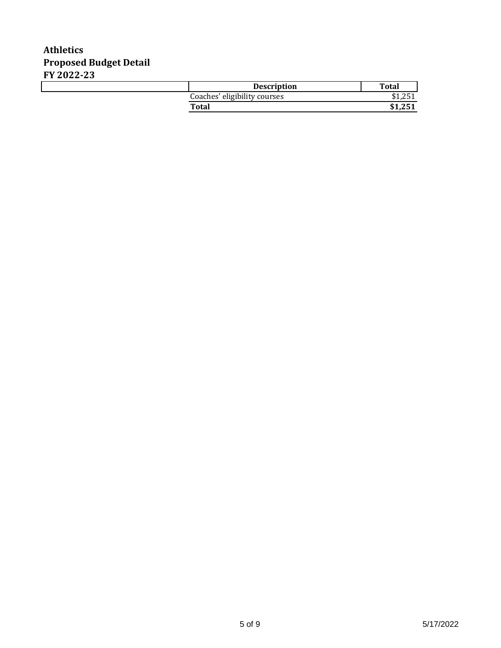| <b>Description</b>           | <b>Total</b>                            |
|------------------------------|-----------------------------------------|
| Coaches' eligibility courses | $\Omega$ $\sim$ $\sim$<br>ሖ<br>1 ل 1 إل |
| <b>Total</b>                 |                                         |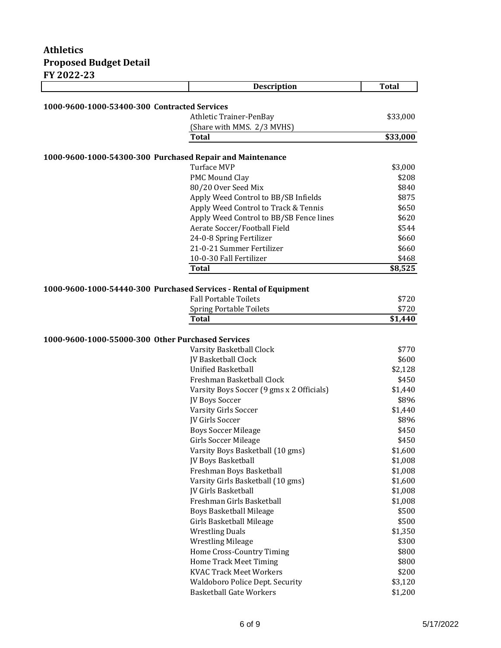|                                                                   | <b>Description</b>                        | <b>Total</b>   |
|-------------------------------------------------------------------|-------------------------------------------|----------------|
|                                                                   |                                           |                |
| 1000-9600-1000-53400-300 Contracted Services                      |                                           |                |
|                                                                   | Athletic Trainer-PenBay                   | \$33,000       |
|                                                                   | (Share with MMS. 2/3 MVHS)                |                |
|                                                                   | <b>Total</b>                              | \$33,000       |
|                                                                   |                                           |                |
| 1000-9600-1000-54300-300 Purchased Repair and Maintenance         |                                           |                |
|                                                                   | <b>Turface MVP</b>                        | \$3,000        |
|                                                                   | PMC Mound Clay                            | \$208          |
|                                                                   | 80/20 Over Seed Mix                       | \$840          |
|                                                                   | Apply Weed Control to BB/SB Infields      | \$875<br>\$650 |
|                                                                   | Apply Weed Control to Track & Tennis      |                |
|                                                                   | Apply Weed Control to BB/SB Fence lines   | \$620          |
|                                                                   | Aerate Soccer/Football Field              | \$544          |
|                                                                   | 24-0-8 Spring Fertilizer                  | \$660          |
|                                                                   | 21-0-21 Summer Fertilizer                 | \$660          |
|                                                                   | 10-0-30 Fall Fertilizer                   | \$468          |
|                                                                   | <b>Total</b>                              | \$8,525        |
|                                                                   |                                           |                |
| 1000-9600-1000-54440-300 Purchased Services - Rental of Equipment | <b>Fall Portable Toilets</b>              | \$720          |
|                                                                   | <b>Spring Portable Toilets</b>            | \$720          |
|                                                                   | <b>Total</b>                              | \$1,440        |
|                                                                   |                                           |                |
| 1000-9600-1000-55000-300 Other Purchased Services                 |                                           |                |
|                                                                   | Varsity Basketball Clock                  | \$770          |
|                                                                   | JV Basketball Clock                       | \$600          |
|                                                                   | <b>Unified Basketball</b>                 | \$2,128        |
|                                                                   | Freshman Basketball Clock                 | \$450          |
|                                                                   | Varsity Boys Soccer (9 gms x 2 Officials) | \$1,440        |
|                                                                   | JV Boys Soccer                            | \$896          |
|                                                                   | Varsity Girls Soccer                      | \$1,440        |
|                                                                   | <b>IV Girls Soccer</b>                    | \$896          |
|                                                                   | <b>Boys Soccer Mileage</b>                | \$450          |
|                                                                   | Girls Soccer Mileage                      | \$450          |
|                                                                   | Varsity Boys Basketball (10 gms)          | \$1,600        |
|                                                                   | JV Boys Basketball                        | \$1,008        |
|                                                                   | Freshman Boys Basketball                  | \$1,008        |
|                                                                   | Varsity Girls Basketball (10 gms)         | \$1,600        |
|                                                                   | <b>IV Girls Basketball</b>                | \$1,008        |
|                                                                   | Freshman Girls Basketball                 | \$1,008        |
|                                                                   | <b>Boys Basketball Mileage</b>            | \$500          |
|                                                                   | Girls Basketball Mileage                  | \$500          |
|                                                                   | <b>Wrestling Duals</b>                    | \$1,350        |
|                                                                   | <b>Wrestling Mileage</b>                  | \$300          |
|                                                                   | Home Cross-Country Timing                 | \$800          |
|                                                                   | <b>Home Track Meet Timing</b>             | \$800          |
|                                                                   | <b>KVAC Track Meet Workers</b>            | \$200          |
|                                                                   | Waldoboro Police Dept. Security           | \$3,120        |
|                                                                   | <b>Basketball Gate Workers</b>            | \$1,200        |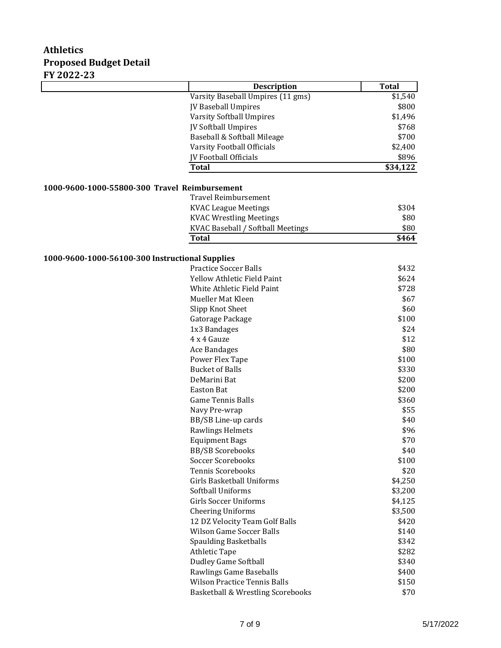|                                                 | <b>Description</b>                  | <b>Total</b> |
|-------------------------------------------------|-------------------------------------|--------------|
|                                                 | Varsity Baseball Umpires (11 gms)   | \$1,540      |
|                                                 | JV Baseball Umpires                 | \$800        |
|                                                 | <b>Varsity Softball Umpires</b>     | \$1,496      |
|                                                 | JV Softball Umpires                 | \$768        |
|                                                 | Baseball & Softball Mileage         | \$700        |
|                                                 | Varsity Football Officials          | \$2,400      |
|                                                 | <b>JV Football Officials</b>        | \$896        |
|                                                 | Total                               | \$34,122     |
|                                                 |                                     |              |
| 1000-9600-1000-55800-300 Travel Reimbursement   |                                     |              |
|                                                 | <b>Travel Reimbursement</b>         |              |
|                                                 | <b>KVAC League Meetings</b>         | \$304        |
|                                                 | <b>KVAC Wrestling Meetings</b>      | \$80         |
|                                                 | KVAC Baseball / Softball Meetings   | \$80         |
|                                                 | <b>Total</b>                        | \$464        |
|                                                 |                                     |              |
| 1000-9600-1000-56100-300 Instructional Supplies |                                     |              |
|                                                 | <b>Practice Soccer Balls</b>        | \$432        |
|                                                 | <b>Yellow Athletic Field Paint</b>  | \$624        |
|                                                 | White Athletic Field Paint          | \$728        |
|                                                 | Mueller Mat Kleen                   | \$67         |
|                                                 | Slipp Knot Sheet                    | \$60         |
|                                                 | Gatorage Package                    | \$100        |
|                                                 | 1x3 Bandages                        | \$24         |
|                                                 | 4 x 4 Gauze                         | \$12         |
|                                                 | Ace Bandages                        | \$80         |
|                                                 | Power Flex Tape                     | \$100        |
|                                                 | <b>Bucket of Balls</b>              | \$330        |
|                                                 | DeMarini Bat                        | \$200        |
|                                                 | <b>Easton Bat</b>                   | \$200        |
|                                                 | <b>Game Tennis Balls</b>            | \$360        |
|                                                 | Navy Pre-wrap                       | \$55         |
|                                                 | BB/SB Line-up cards                 | \$40         |
|                                                 | Rawlings Helmets                    | \$96         |
|                                                 | <b>Equipment Bags</b>               | \$70         |
|                                                 | <b>BB/SB Scorebooks</b>             | \$40         |
|                                                 | <b>Soccer Scorebooks</b>            | \$100        |
|                                                 | <b>Tennis Scorebooks</b>            | \$20         |
|                                                 | Girls Basketball Uniforms           | \$4,250      |
|                                                 | Softball Uniforms                   | \$3,200      |
|                                                 | <b>Girls Soccer Uniforms</b>        | \$4,125      |
|                                                 | <b>Cheering Uniforms</b>            | \$3,500      |
|                                                 | 12 DZ Velocity Team Golf Balls      | \$420        |
|                                                 | <b>Wilson Game Soccer Balls</b>     | \$140        |
|                                                 | <b>Spaulding Basketballs</b>        | \$342        |
|                                                 | <b>Athletic Tape</b>                | \$282        |
|                                                 | <b>Dudley Game Softball</b>         | \$340        |
|                                                 | Rawlings Game Baseballs             | \$400        |
|                                                 | <b>Wilson Practice Tennis Balls</b> | \$150        |
|                                                 | Basketball & Wrestling Scorebooks   | \$70         |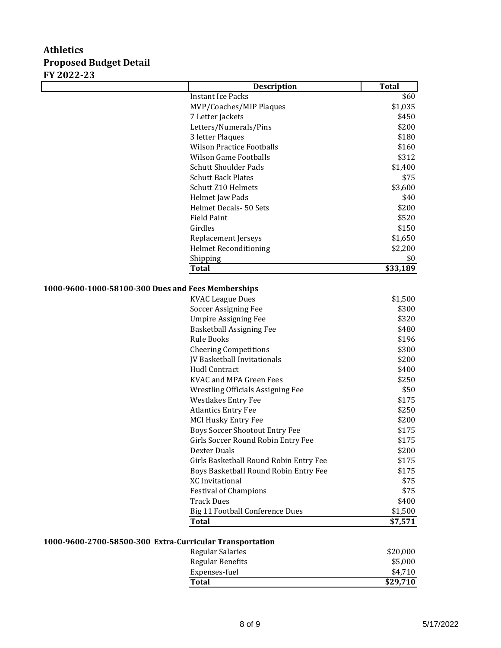|                                                    | <b>Description</b>                       | <b>Total</b> |
|----------------------------------------------------|------------------------------------------|--------------|
|                                                    | <b>Instant Ice Packs</b>                 | \$60         |
|                                                    | MVP/Coaches/MIP Plaques                  | \$1,035      |
|                                                    | 7 Letter Jackets                         | \$450        |
|                                                    | Letters/Numerals/Pins                    | \$200        |
|                                                    | 3 letter Plaques                         | \$180        |
|                                                    | <b>Wilson Practice Footballs</b>         | \$160        |
|                                                    | <b>Wilson Game Footballs</b>             | \$312        |
|                                                    | <b>Schutt Shoulder Pads</b>              | \$1,400      |
|                                                    | <b>Schutt Back Plates</b>                | \$75         |
|                                                    | Schutt Z10 Helmets                       | \$3,600      |
|                                                    | Helmet Jaw Pads                          | \$40         |
|                                                    | Helmet Decals- 50 Sets                   | \$200        |
|                                                    | <b>Field Paint</b>                       | \$520        |
|                                                    | Girdles                                  | \$150        |
|                                                    | Replacement Jerseys                      | \$1,650      |
|                                                    | <b>Helmet Reconditioning</b>             | \$2,200      |
|                                                    | Shipping                                 | \$0          |
|                                                    | <b>Total</b>                             | \$33,189     |
|                                                    |                                          |              |
| 1000-9600-1000-58100-300 Dues and Fees Memberships |                                          |              |
|                                                    | <b>KVAC League Dues</b>                  | \$1,500      |
|                                                    | Soccer Assigning Fee                     | \$300        |
|                                                    | <b>Umpire Assigning Fee</b>              | \$320        |
|                                                    | <b>Basketball Assigning Fee</b>          | \$480        |
|                                                    | <b>Rule Books</b>                        | \$196        |
|                                                    | <b>Cheering Competitions</b>             | \$300        |
|                                                    | JV Basketball Invitationals              | \$200        |
|                                                    | <b>Hudl Contract</b>                     | \$400        |
|                                                    | <b>KVAC and MPA Green Fees</b>           | \$250        |
|                                                    | <b>Wrestling Officials Assigning Fee</b> | \$50         |
|                                                    | <b>Westlakes Entry Fee</b>               | \$175        |
|                                                    | <b>Atlantics Entry Fee</b>               | \$250        |
|                                                    | <b>MCI Husky Entry Fee</b>               | \$200        |
|                                                    | <b>Boys Soccer Shootout Entry Fee</b>    | \$175        |
|                                                    | Girls Soccer Round Robin Entry Fee       | \$175        |
|                                                    | Dexter Duals                             | \$200        |
|                                                    | Girls Basketball Round Robin Entry Fee   | \$175        |
|                                                    | Boys Basketball Round Robin Entry Fee    | \$175        |
|                                                    | <b>XC</b> Invitational                   | \$75         |
|                                                    | <b>Festival of Champions</b>             | \$75         |
|                                                    | <b>Track Dues</b>                        | \$400        |
|                                                    | <b>Big 11 Football Conference Dues</b>   | \$1,500      |
|                                                    | <b>Total</b>                             | \$7,571      |
|                                                    |                                          |              |

#### **1000-9600-2700-58500-300 Extra-Curricular Transportation**

| <b>Total</b>            | \$29.710 |
|-------------------------|----------|
| Expenses-fuel           | \$4.710  |
| <b>Regular Benefits</b> | \$5,000  |
| Regular Salaries        | \$20,000 |